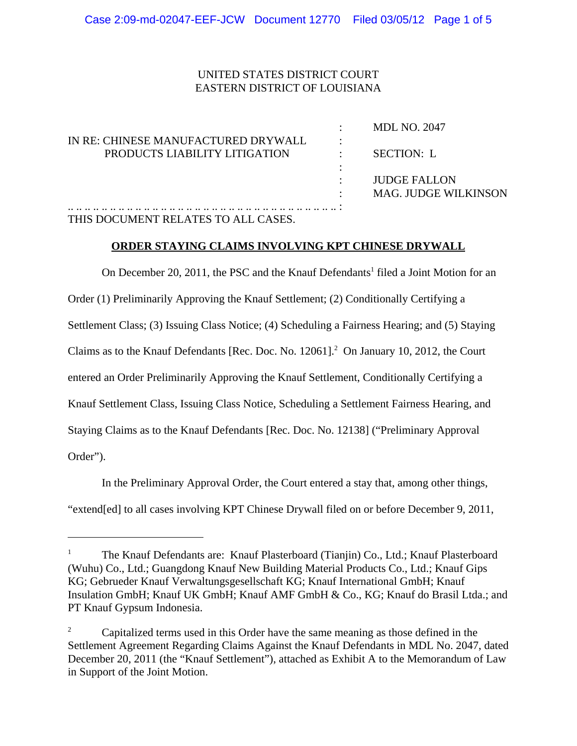# UNITED STATES DISTRICT COURT EASTERN DISTRICT OF LOUISIANA

| <b>MDL NO. 2047</b>  |
|----------------------|
|                      |
| SECTION: L           |
|                      |
| <b>JUDGE FALLON</b>  |
| MAG. JUDGE WILKINSON |
|                      |
|                      |

## THIS DOCUMENT RELATES TO ALL CASES.

### **ORDER STAYING CLAIMS INVOLVING KPT CHINESE DRYWALL**

On December 20, 2011, the PSC and the Knauf Defendants<sup>1</sup> filed a Joint Motion for an Order (1) Preliminarily Approving the Knauf Settlement; (2) Conditionally Certifying a Settlement Class; (3) Issuing Class Notice; (4) Scheduling a Fairness Hearing; and (5) Staying Claims as to the Knauf Defendants [Rec. Doc. No. 12061].<sup>2</sup> On January 10, 2012, the Court entered an Order Preliminarily Approving the Knauf Settlement, Conditionally Certifying a Knauf Settlement Class, Issuing Class Notice, Scheduling a Settlement Fairness Hearing, and Staying Claims as to the Knauf Defendants [Rec. Doc. No. 12138] ("Preliminary Approval Order").

In the Preliminary Approval Order, the Court entered a stay that, among other things, "extend[ed] to all cases involving KPT Chinese Drywall filed on or before December 9, 2011,

<sup>1</sup> The Knauf Defendants are: Knauf Plasterboard (Tianjin) Co., Ltd.; Knauf Plasterboard (Wuhu) Co., Ltd.; Guangdong Knauf New Building Material Products Co., Ltd.; Knauf Gips KG; Gebrueder Knauf Verwaltungsgesellschaft KG; Knauf International GmbH; Knauf Insulation GmbH; Knauf UK GmbH; Knauf AMF GmbH & Co., KG; Knauf do Brasil Ltda.; and PT Knauf Gypsum Indonesia.

<sup>2</sup> Capitalized terms used in this Order have the same meaning as those defined in the Settlement Agreement Regarding Claims Against the Knauf Defendants in MDL No. 2047, dated December 20, 2011 (the "Knauf Settlement"), attached as Exhibit A to the Memorandum of Law in Support of the Joint Motion.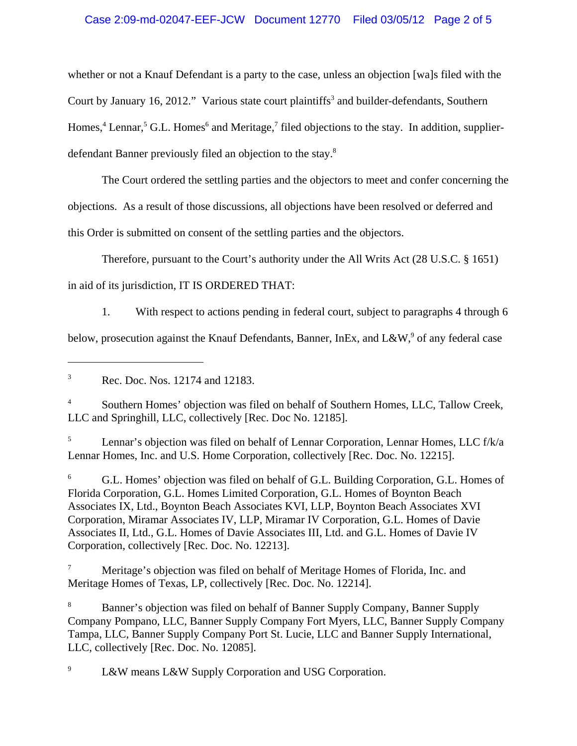## Case 2:09-md-02047-EEF-JCW Document 12770 Filed 03/05/12 Page 2 of 5

whether or not a Knauf Defendant is a party to the case, unless an objection [wa]s filed with the Court by January 16, 2012." Various state court plaintiffs<sup>3</sup> and builder-defendants, Southern Homes,<sup>4</sup> Lennar,<sup>5</sup> G.L. Homes<sup>6</sup> and Meritage,<sup>7</sup> filed objections to the stay. In addition, supplierdefendant Banner previously filed an objection to the stay.8

The Court ordered the settling parties and the objectors to meet and confer concerning the

objections. As a result of those discussions, all objections have been resolved or deferred and

this Order is submitted on consent of the settling parties and the objectors.

Therefore, pursuant to the Court's authority under the All Writs Act (28 U.S.C. § 1651)

in aid of its jurisdiction, IT IS ORDERED THAT:

1. With respect to actions pending in federal court, subject to paragraphs 4 through 6 below, prosecution against the Knauf Defendants, Banner, InEx, and L&W,  $\degree$  of any federal case

4 Southern Homes' objection was filed on behalf of Southern Homes, LLC, Tallow Creek, LLC and Springhill, LLC, collectively [Rec. Doc No. 12185].

5 Lennar's objection was filed on behalf of Lennar Corporation, Lennar Homes, LLC f/k/a Lennar Homes, Inc. and U.S. Home Corporation, collectively [Rec. Doc. No. 12215].

6 G.L. Homes' objection was filed on behalf of G.L. Building Corporation, G.L. Homes of Florida Corporation, G.L. Homes Limited Corporation, G.L. Homes of Boynton Beach Associates IX, Ltd., Boynton Beach Associates KVI, LLP, Boynton Beach Associates XVI Corporation, Miramar Associates IV, LLP, Miramar IV Corporation, G.L. Homes of Davie Associates II, Ltd., G.L. Homes of Davie Associates III, Ltd. and G.L. Homes of Davie IV Corporation, collectively [Rec. Doc. No. 12213].

7 Meritage's objection was filed on behalf of Meritage Homes of Florida, Inc. and Meritage Homes of Texas, LP, collectively [Rec. Doc. No. 12214].

8 Banner's objection was filed on behalf of Banner Supply Company, Banner Supply Company Pompano, LLC, Banner Supply Company Fort Myers, LLC, Banner Supply Company Tampa, LLC, Banner Supply Company Port St. Lucie, LLC and Banner Supply International, LLC, collectively [Rec. Doc. No. 12085].

9 L&W means L&W Supply Corporation and USG Corporation.

<sup>3</sup> Rec. Doc. Nos. 12174 and 12183.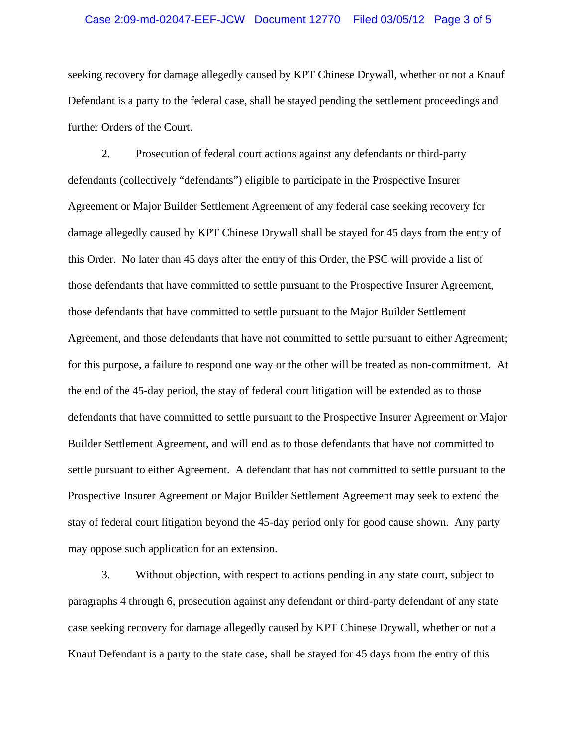#### Case 2:09-md-02047-EEF-JCW Document 12770 Filed 03/05/12 Page 3 of 5

seeking recovery for damage allegedly caused by KPT Chinese Drywall, whether or not a Knauf Defendant is a party to the federal case, shall be stayed pending the settlement proceedings and further Orders of the Court.

2. Prosecution of federal court actions against any defendants or third-party defendants (collectively "defendants") eligible to participate in the Prospective Insurer Agreement or Major Builder Settlement Agreement of any federal case seeking recovery for damage allegedly caused by KPT Chinese Drywall shall be stayed for 45 days from the entry of this Order. No later than 45 days after the entry of this Order, the PSC will provide a list of those defendants that have committed to settle pursuant to the Prospective Insurer Agreement, those defendants that have committed to settle pursuant to the Major Builder Settlement Agreement, and those defendants that have not committed to settle pursuant to either Agreement; for this purpose, a failure to respond one way or the other will be treated as non-commitment. At the end of the 45-day period, the stay of federal court litigation will be extended as to those defendants that have committed to settle pursuant to the Prospective Insurer Agreement or Major Builder Settlement Agreement, and will end as to those defendants that have not committed to settle pursuant to either Agreement. A defendant that has not committed to settle pursuant to the Prospective Insurer Agreement or Major Builder Settlement Agreement may seek to extend the stay of federal court litigation beyond the 45-day period only for good cause shown. Any party may oppose such application for an extension.

3. Without objection, with respect to actions pending in any state court, subject to paragraphs 4 through 6, prosecution against any defendant or third-party defendant of any state case seeking recovery for damage allegedly caused by KPT Chinese Drywall, whether or not a Knauf Defendant is a party to the state case, shall be stayed for 45 days from the entry of this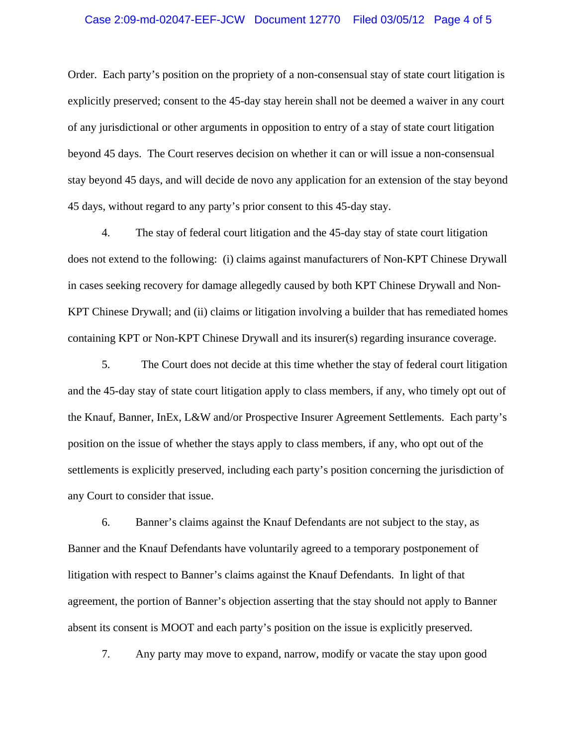#### Case 2:09-md-02047-EEF-JCW Document 12770 Filed 03/05/12 Page 4 of 5

Order. Each party's position on the propriety of a non-consensual stay of state court litigation is explicitly preserved; consent to the 45-day stay herein shall not be deemed a waiver in any court of any jurisdictional or other arguments in opposition to entry of a stay of state court litigation beyond 45 days. The Court reserves decision on whether it can or will issue a non-consensual stay beyond 45 days, and will decide de novo any application for an extension of the stay beyond 45 days, without regard to any party's prior consent to this 45-day stay.

4. The stay of federal court litigation and the 45-day stay of state court litigation does not extend to the following: (i) claims against manufacturers of Non-KPT Chinese Drywall in cases seeking recovery for damage allegedly caused by both KPT Chinese Drywall and Non-KPT Chinese Drywall; and (ii) claims or litigation involving a builder that has remediated homes containing KPT or Non-KPT Chinese Drywall and its insurer(s) regarding insurance coverage.

5. The Court does not decide at this time whether the stay of federal court litigation and the 45-day stay of state court litigation apply to class members, if any, who timely opt out of the Knauf, Banner, InEx, L&W and/or Prospective Insurer Agreement Settlements. Each party's position on the issue of whether the stays apply to class members, if any, who opt out of the settlements is explicitly preserved, including each party's position concerning the jurisdiction of any Court to consider that issue.

6. Banner's claims against the Knauf Defendants are not subject to the stay, as Banner and the Knauf Defendants have voluntarily agreed to a temporary postponement of litigation with respect to Banner's claims against the Knauf Defendants. In light of that agreement, the portion of Banner's objection asserting that the stay should not apply to Banner absent its consent is MOOT and each party's position on the issue is explicitly preserved.

7. Any party may move to expand, narrow, modify or vacate the stay upon good